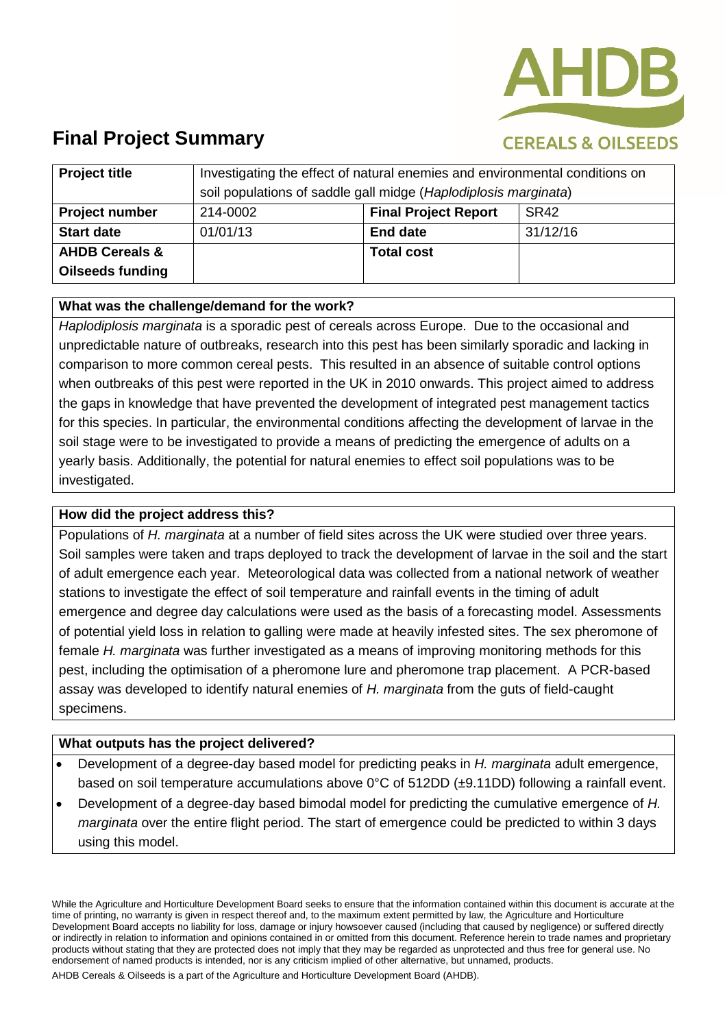

## **CEREALS & OILSEEDS**

| <b>Project title</b>      | Investigating the effect of natural enemies and environmental conditions on<br>soil populations of saddle gall midge (Haplodiplosis marginata) |                             |                  |
|---------------------------|------------------------------------------------------------------------------------------------------------------------------------------------|-----------------------------|------------------|
| <b>Project number</b>     | 214-0002                                                                                                                                       | <b>Final Project Report</b> | SR <sub>42</sub> |
| <b>Start date</b>         | 01/01/13                                                                                                                                       | <b>End date</b>             | 31/12/16         |
| <b>AHDB Cereals &amp;</b> |                                                                                                                                                | <b>Total cost</b>           |                  |
| <b>Oilseeds funding</b>   |                                                                                                                                                |                             |                  |

### **What was the challenge/demand for the work?**

*Haplodiplosis marginata* is a sporadic pest of cereals across Europe. Due to the occasional and unpredictable nature of outbreaks, research into this pest has been similarly sporadic and lacking in comparison to more common cereal pests. This resulted in an absence of suitable control options when outbreaks of this pest were reported in the UK in 2010 onwards. This project aimed to address the gaps in knowledge that have prevented the development of integrated pest management tactics for this species. In particular, the environmental conditions affecting the development of larvae in the soil stage were to be investigated to provide a means of predicting the emergence of adults on a yearly basis. Additionally, the potential for natural enemies to effect soil populations was to be investigated.

#### **How did the project address this?**

Populations of *H. marginata* at a number of field sites across the UK were studied over three years. Soil samples were taken and traps deployed to track the development of larvae in the soil and the start of adult emergence each year. Meteorological data was collected from a national network of weather stations to investigate the effect of soil temperature and rainfall events in the timing of adult emergence and degree day calculations were used as the basis of a forecasting model. Assessments of potential yield loss in relation to galling were made at heavily infested sites. The sex pheromone of female *H. marginata* was further investigated as a means of improving monitoring methods for this pest, including the optimisation of a pheromone lure and pheromone trap placement. A PCR-based assay was developed to identify natural enemies of *H. marginata* from the guts of field-caught specimens.

#### **What outputs has the project delivered?**

- Development of a degree-day based model for predicting peaks in *H. marginata* adult emergence, based on soil temperature accumulations above 0°C of 512DD (±9.11DD) following a rainfall event.
- Development of a degree-day based bimodal model for predicting the cumulative emergence of *H. marginata* over the entire flight period. The start of emergence could be predicted to within 3 days using this model.

While the Agriculture and Horticulture Development Board seeks to ensure that the information contained within this document is accurate at the time of printing, no warranty is given in respect thereof and, to the maximum extent permitted by law, the Agriculture and Horticulture Development Board accepts no liability for loss, damage or injury howsoever caused (including that caused by negligence) or suffered directly or indirectly in relation to information and opinions contained in or omitted from this document. Reference herein to trade names and proprietary products without stating that they are protected does not imply that they may be regarded as unprotected and thus free for general use. No endorsement of named products is intended, nor is any criticism implied of other alternative, but unnamed, products.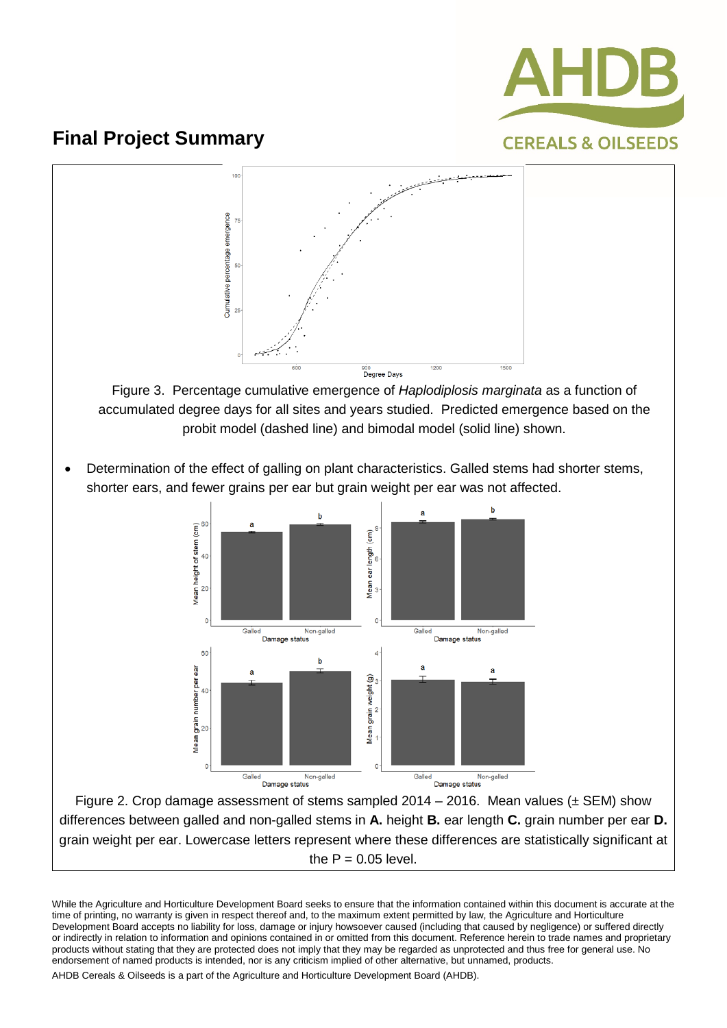



accumulated degree days for all sites and years studied. Predicted emergence based on the probit model (dashed line) and bimodal model (solid line) shown.

• Determination of the effect of galling on plant characteristics. Galled stems had shorter stems, shorter ears, and fewer grains per ear but grain weight per ear was not affected.



Figure 2. Crop damage assessment of stems sampled  $2014 - 2016$ . Mean values ( $\pm$  SEM) show differences between galled and non-galled stems in **A.** height **B.** ear length **C.** grain number per ear **D.** grain weight per ear. Lowercase letters represent where these differences are statistically significant at the  $P = 0.05$  level.

While the Agriculture and Horticulture Development Board seeks to ensure that the information contained within this document is accurate at the time of printing, no warranty is given in respect thereof and, to the maximum extent permitted by law, the Agriculture and Horticulture Development Board accepts no liability for loss, damage or injury howsoever caused (including that caused by negligence) or suffered directly or indirectly in relation to information and opinions contained in or omitted from this document. Reference herein to trade names and proprietary products without stating that they are protected does not imply that they may be regarded as unprotected and thus free for general use. No endorsement of named products is intended, nor is any criticism implied of other alternative, but unnamed, products.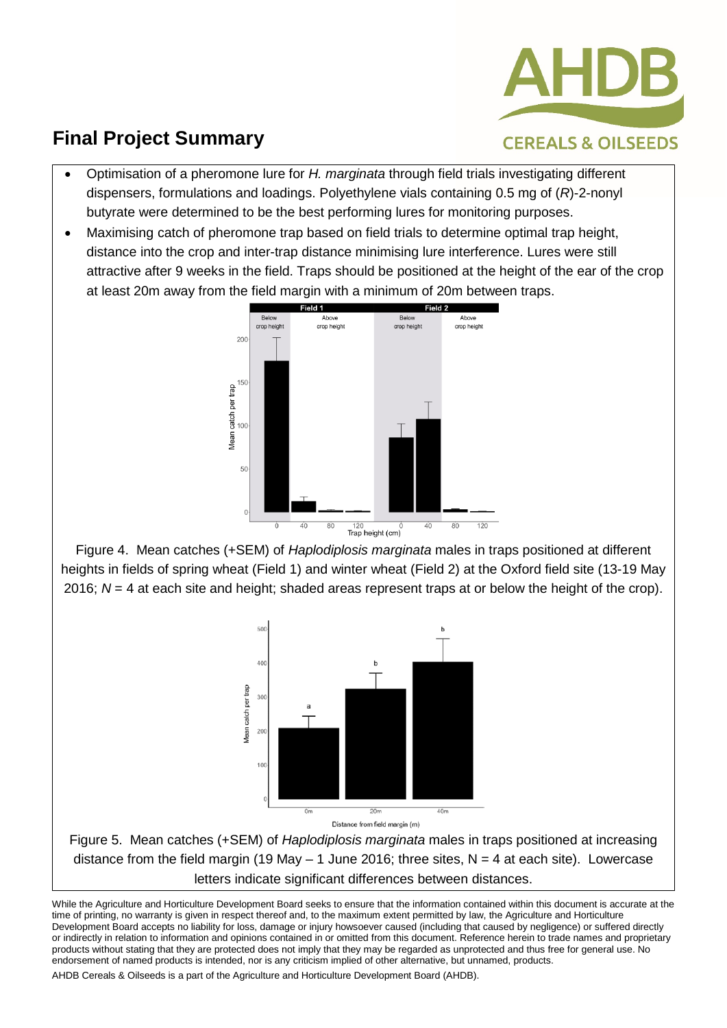

- **CEREALS & OILSEEDS**
- Optimisation of a pheromone lure for *H. marginata* through field trials investigating different dispensers, formulations and loadings. Polyethylene vials containing 0.5 mg of (*R*)-2-nonyl butyrate were determined to be the best performing lures for monitoring purposes.
- Maximising catch of pheromone trap based on field trials to determine optimal trap height, distance into the crop and inter-trap distance minimising lure interference. Lures were still attractive after 9 weeks in the field. Traps should be positioned at the height of the ear of the crop at least 20m away from the field margin with a minimum of 20m between traps.



Figure 4. Mean catches (+SEM) of *Haplodiplosis marginata* males in traps positioned at different heights in fields of spring wheat (Field 1) and winter wheat (Field 2) at the Oxford field site (13-19 May 2016; *N* = 4 at each site and height; shaded areas represent traps at or below the height of the crop).





Figure 5.Mean catches (+SEM) of *Haplodiplosis marginata* males in traps positioned at increasing distance from the field margin (19 May  $-$  1 June 2016; three sites, N = 4 at each site). Lowercase letters indicate significant differences between distances.

While the Agriculture and Horticulture Development Board seeks to ensure that the information contained within this document is accurate at the time of printing, no warranty is given in respect thereof and, to the maximum extent permitted by law, the Agriculture and Horticulture Development Board accepts no liability for loss, damage or injury howsoever caused (including that caused by negligence) or suffered directly or indirectly in relation to information and opinions contained in or omitted from this document. Reference herein to trade names and proprietary products without stating that they are protected does not imply that they may be regarded as unprotected and thus free for general use. No endorsement of named products is intended, nor is any criticism implied of other alternative, but unnamed, products.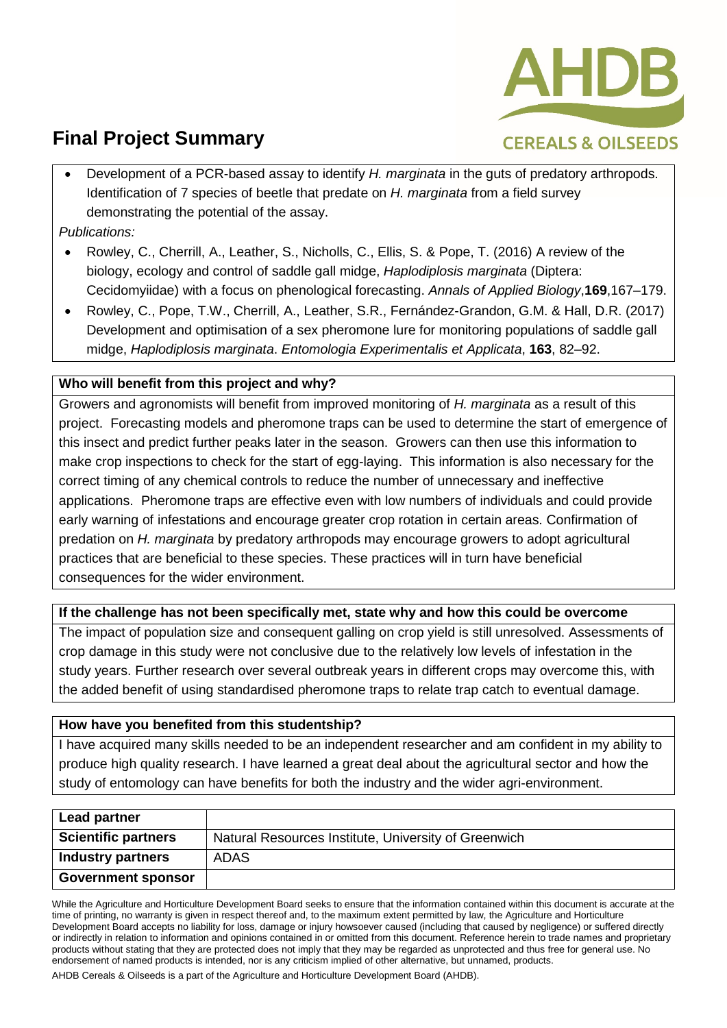

• Development of a PCR-based assay to identify *H. marginata* in the guts of predatory arthropods. Identification of 7 species of beetle that predate on *H. marginata* from a field survey demonstrating the potential of the assay.

*Publications:*

- Rowley, C., Cherrill, A., Leather, S., Nicholls, C., Ellis, S. & Pope, T. (2016) A review of the biology, ecology and control of saddle gall midge, *Haplodiplosis marginata* (Diptera: Cecidomyiidae) with a focus on phenological forecasting. *Annals of Applied Biology*,**169**,167–179.
- Rowley, C., Pope, T.W., Cherrill, A., Leather, S.R., Fernández-Grandon, G.M. & Hall, D.R. (2017) Development and optimisation of a sex pheromone lure for monitoring populations of saddle gall midge, *Haplodiplosis marginata*. *Entomologia Experimentalis et Applicata*, **163**, 82–92.

### **Who will benefit from this project and why?**

Growers and agronomists will benefit from improved monitoring of *H. marginata* as a result of this project. Forecasting models and pheromone traps can be used to determine the start of emergence of this insect and predict further peaks later in the season. Growers can then use this information to make crop inspections to check for the start of egg-laying. This information is also necessary for the correct timing of any chemical controls to reduce the number of unnecessary and ineffective applications. Pheromone traps are effective even with low numbers of individuals and could provide early warning of infestations and encourage greater crop rotation in certain areas. Confirmation of predation on *H. marginata* by predatory arthropods may encourage growers to adopt agricultural practices that are beneficial to these species. These practices will in turn have beneficial consequences for the wider environment.

### **If the challenge has not been specifically met, state why and how this could be overcome**

The impact of population size and consequent galling on crop yield is still unresolved. Assessments of crop damage in this study were not conclusive due to the relatively low levels of infestation in the study years. Further research over several outbreak years in different crops may overcome this, with the added benefit of using standardised pheromone traps to relate trap catch to eventual damage.

#### **How have you benefited from this studentship?**

I have acquired many skills needed to be an independent researcher and am confident in my ability to produce high quality research. I have learned a great deal about the agricultural sector and how the study of entomology can have benefits for both the industry and the wider agri-environment.

| <b>Lead partner</b>        |                                                      |
|----------------------------|------------------------------------------------------|
| <b>Scientific partners</b> | Natural Resources Institute, University of Greenwich |
| <b>Industry partners</b>   | <b>ADAS</b>                                          |
| <b>Government sponsor</b>  |                                                      |

While the Agriculture and Horticulture Development Board seeks to ensure that the information contained within this document is accurate at the time of printing, no warranty is given in respect thereof and, to the maximum extent permitted by law, the Agriculture and Horticulture Development Board accepts no liability for loss, damage or injury howsoever caused (including that caused by negligence) or suffered directly or indirectly in relation to information and opinions contained in or omitted from this document. Reference herein to trade names and proprietary products without stating that they are protected does not imply that they may be regarded as unprotected and thus free for general use. No endorsement of named products is intended, nor is any criticism implied of other alternative, but unnamed, products.